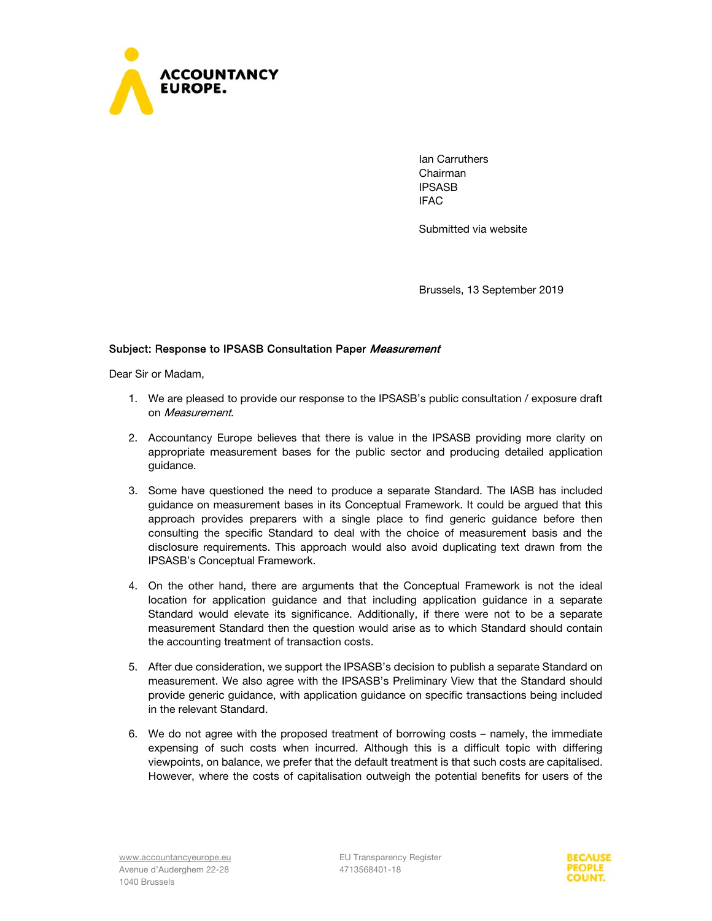

Ian Carruthers Chairman IPSASB IFAC

Submitted via website

Brussels, 13 September 2019

## Subject: Response to IPSASB Consultation Paper Measurement

Dear Sir or Madam,

- 1. We are pleased to provide our response to the IPSASB's public consultation / exposure draft on Measurement.
- 2. Accountancy Europe believes that there is value in the IPSASB providing more clarity on appropriate measurement bases for the public sector and producing detailed application guidance.
- 3. Some have questioned the need to produce a separate Standard. The IASB has included guidance on measurement bases in its Conceptual Framework. It could be argued that this approach provides preparers with a single place to find generic guidance before then consulting the specific Standard to deal with the choice of measurement basis and the disclosure requirements. This approach would also avoid duplicating text drawn from the IPSASB's Conceptual Framework.
- 4. On the other hand, there are arguments that the Conceptual Framework is not the ideal location for application guidance and that including application guidance in a separate Standard would elevate its significance. Additionally, if there were not to be a separate measurement Standard then the question would arise as to which Standard should contain the accounting treatment of transaction costs.
- 5. After due consideration, we support the IPSASB's decision to publish a separate Standard on measurement. We also agree with the IPSASB's Preliminary View that the Standard should provide generic guidance, with application guidance on specific transactions being included in the relevant Standard.
- 6. We do not agree with the proposed treatment of borrowing costs namely, the immediate expensing of such costs when incurred. Although this is a difficult topic with differing viewpoints, on balance, we prefer that the default treatment is that such costs are capitalised. However, where the costs of capitalisation outweigh the potential benefits for users of the

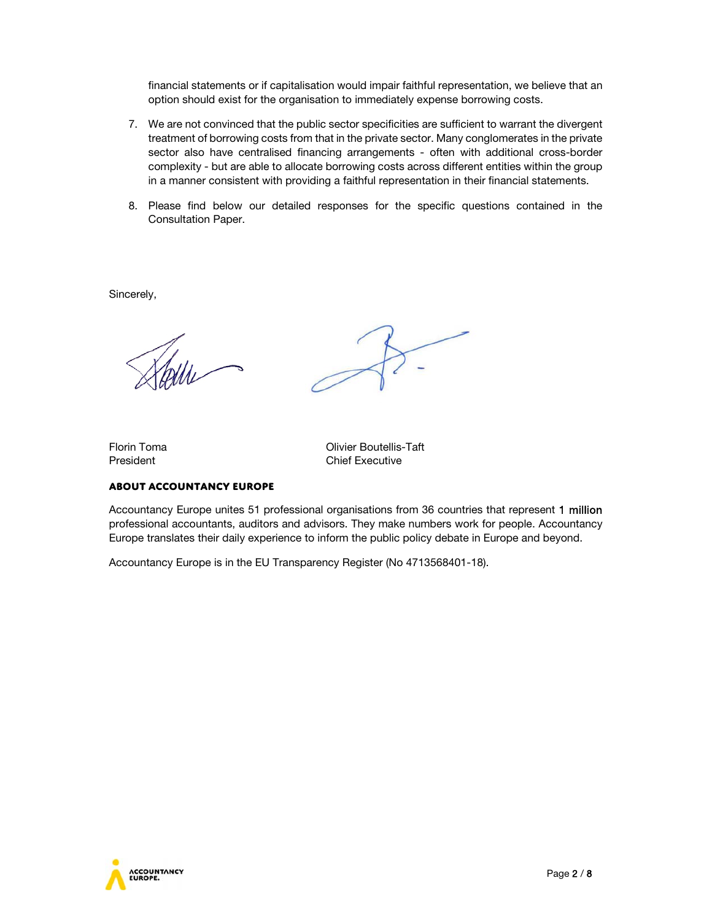financial statements or if capitalisation would impair faithful representation, we believe that an option should exist for the organisation to immediately expense borrowing costs.

- 7. We are not convinced that the public sector specificities are sufficient to warrant the divergent treatment of borrowing costs from that in the private sector. Many conglomerates in the private sector also have centralised financing arrangements - often with additional cross-border complexity - but are able to allocate borrowing costs across different entities within the group in a manner consistent with providing a faithful representation in their financial statements.
- 8. Please find below our detailed responses for the specific questions contained in the Consultation Paper.

Sincerely,

Florin Toma Olivier Boutellis-Taft President **Chief Executive** 

## **About Accountancy Europe**

Accountancy Europe unites 51 professional organisations from 36 countries that represent 1 million professional accountants, auditors and advisors. They make numbers work for people. Accountancy Europe translates their daily experience to inform the public policy debate in Europe and beyond.

Accountancy Europe is in the EU Transparency Register (No 4713568401-18).

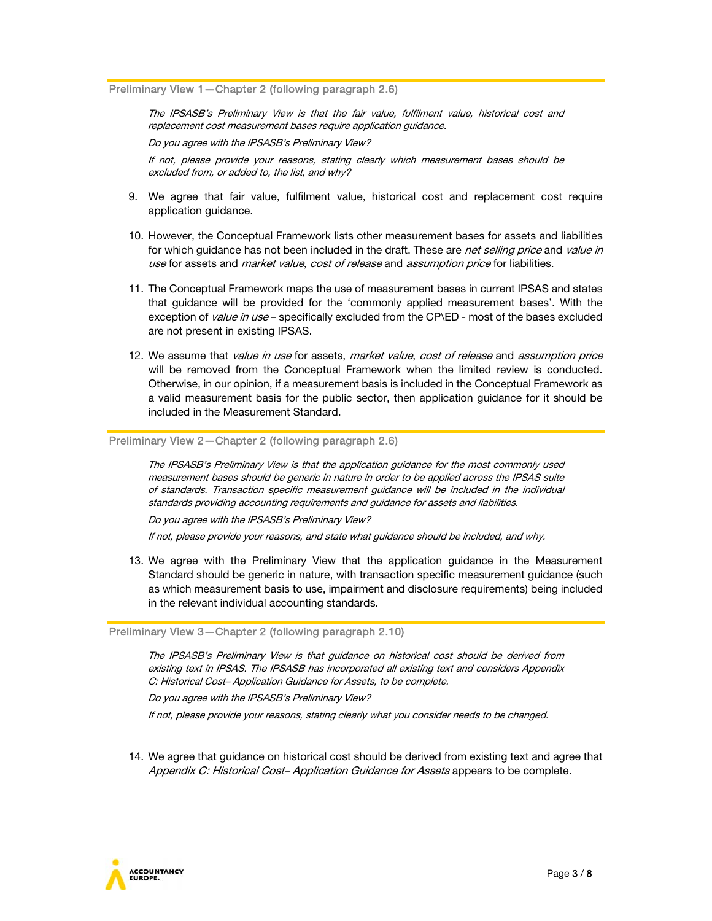Preliminary View 1—Chapter 2 (following paragraph 2.6)

The IPSASB's Preliminary View is that the fair value, fulfilment value, historical cost and replacement cost measurement bases require application guidance.

Do you agree with the IPSASB's Preliminary View?

If not, please provide your reasons, stating clearly which measurement bases should be excluded from, or added to, the list, and why?

- 9. We agree that fair value, fulfilment value, historical cost and replacement cost require application guidance.
- 10. However, the Conceptual Framework lists other measurement bases for assets and liabilities for which guidance has not been included in the draft. These are net selling price and value in use for assets and *market value, cost of release* and *assumption price* for liabilities.
- 11. The Conceptual Framework maps the use of measurement bases in current IPSAS and states that guidance will be provided for the 'commonly applied measurement bases'. With the exception of *value in use* – specifically excluded from the CP\ED - most of the bases excluded are not present in existing IPSAS.
- 12. We assume that *value in use* for assets, market value, cost of release and assumption price will be removed from the Conceptual Framework when the limited review is conducted. Otherwise, in our opinion, if a measurement basis is included in the Conceptual Framework as a valid measurement basis for the public sector, then application guidance for it should be included in the Measurement Standard.

Preliminary View 2—Chapter 2 (following paragraph 2.6)

The IPSASB's Preliminary View is that the application guidance for the most commonly used measurement bases should be generic in nature in order to be applied across the IPSAS suite of standards. Transaction specific measurement guidance will be included in the individual standards providing accounting requirements and guidance for assets and liabilities.

Do you agree with the IPSASB's Preliminary View?

If not, please provide your reasons, and state what guidance should be included, and why.

13. We agree with the Preliminary View that the application guidance in the Measurement Standard should be generic in nature, with transaction specific measurement guidance (such as which measurement basis to use, impairment and disclosure requirements) being included in the relevant individual accounting standards.

Preliminary View 3—Chapter 2 (following paragraph 2.10)

The IPSASB's Preliminary View is that guidance on historical cost should be derived from existing text in IPSAS. The IPSASB has incorporated all existing text and considers Appendix C: Historical Cost– Application Guidance for Assets, to be complete.

Do you agree with the IPSASB's Preliminary View?

If not, please provide your reasons, stating clearly what you consider needs to be changed.

14. We agree that guidance on historical cost should be derived from existing text and agree that Appendix C: Historical Cost– Application Guidance for Assets appears to be complete.

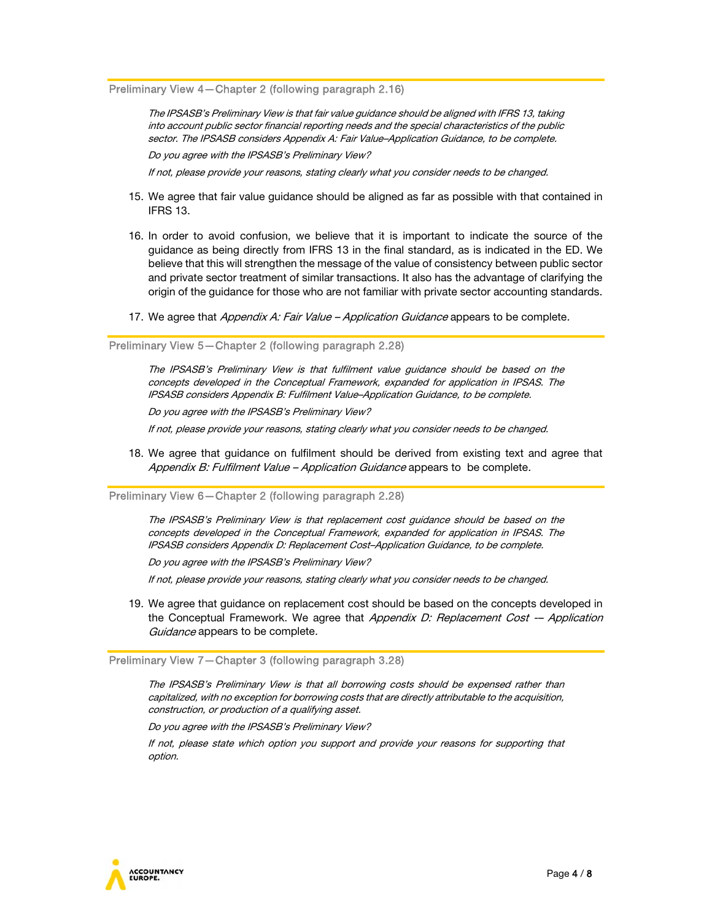Preliminary View 4—Chapter 2 (following paragraph 2.16)

The IPSASB's Preliminary View is that fair value guidance should be aligned with IFRS 13, taking into account public sector financial reporting needs and the special characteristics of the public sector. The IPSASB considers Appendix A: Fair Value–Application Guidance, to be complete. Do you agree with the IPSASB's Preliminary View?

If not, please provide your reasons, stating clearly what you consider needs to be changed.

- 15. We agree that fair value guidance should be aligned as far as possible with that contained in IFRS 13.
- 16. In order to avoid confusion, we believe that it is important to indicate the source of the guidance as being directly from IFRS 13 in the final standard, as is indicated in the ED. We believe that this will strengthen the message of the value of consistency between public sector and private sector treatment of similar transactions. It also has the advantage of clarifying the origin of the guidance for those who are not familiar with private sector accounting standards.
- 17. We agree that Appendix A: Fair Value Application Guidance appears to be complete.

Preliminary View 5—Chapter 2 (following paragraph 2.28)

The IPSASB's Preliminary View is that fulfilment value guidance should be based on the concepts developed in the Conceptual Framework, expanded for application in IPSAS. The IPSASB considers Appendix B: Fulfilment Value–Application Guidance, to be complete.

Do you agree with the IPSASB's Preliminary View?

If not, please provide your reasons, stating clearly what you consider needs to be changed.

18. We agree that guidance on fulfilment should be derived from existing text and agree that Appendix B: Fulfilment Value – Application Guidance appears to be complete.

Preliminary View 6—Chapter 2 (following paragraph 2.28)

The IPSASB's Preliminary View is that replacement cost guidance should be based on the concepts developed in the Conceptual Framework, expanded for application in IPSAS. The IPSASB considers Appendix D: Replacement Cost–Application Guidance, to be complete.

Do you agree with the IPSASB's Preliminary View?

If not, please provide your reasons, stating clearly what you consider needs to be changed.

19. We agree that guidance on replacement cost should be based on the concepts developed in the Conceptual Framework. We agree that Appendix D: Replacement Cost -- Application Guidance appears to be complete.

Preliminary View 7—Chapter 3 (following paragraph 3.28)

The IPSASB's Preliminary View is that all borrowing costs should be expensed rather than capitalized, with no exception for borrowing costs that are directly attributable to the acquisition, construction, or production of a qualifying asset.

Do you agree with the IPSASB's Preliminary View?

If not, please state which option you support and provide your reasons for supporting that option.

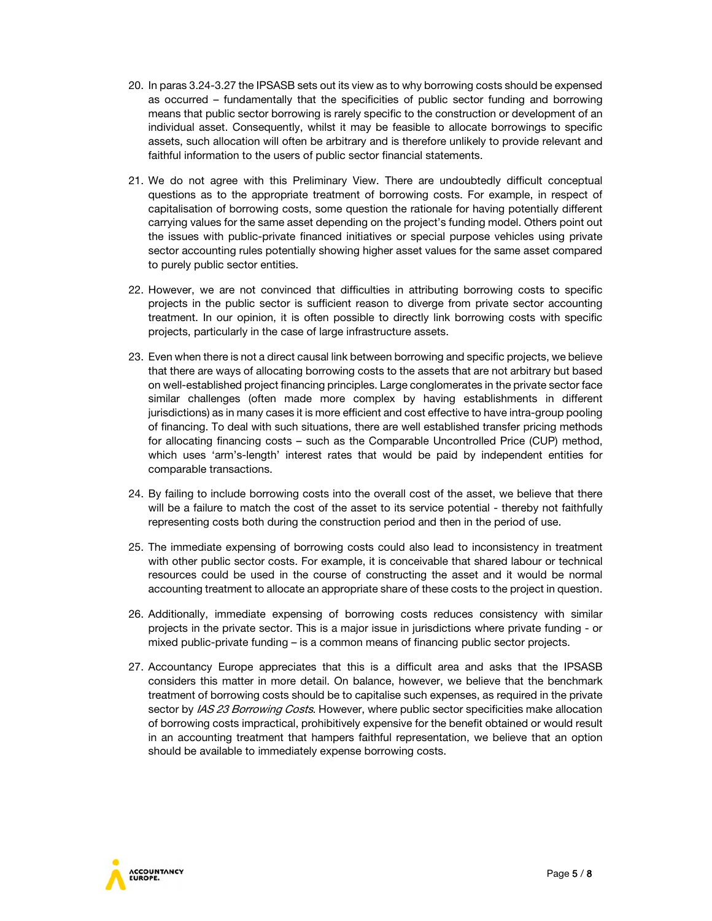- 20. In paras 3.24-3.27 the IPSASB sets out its view as to why borrowing costs should be expensed as occurred – fundamentally that the specificities of public sector funding and borrowing means that public sector borrowing is rarely specific to the construction or development of an individual asset. Consequently, whilst it may be feasible to allocate borrowings to specific assets, such allocation will often be arbitrary and is therefore unlikely to provide relevant and faithful information to the users of public sector financial statements.
- 21. We do not agree with this Preliminary View. There are undoubtedly difficult conceptual questions as to the appropriate treatment of borrowing costs. For example, in respect of capitalisation of borrowing costs, some question the rationale for having potentially different carrying values for the same asset depending on the project's funding model. Others point out the issues with public-private financed initiatives or special purpose vehicles using private sector accounting rules potentially showing higher asset values for the same asset compared to purely public sector entities.
- 22. However, we are not convinced that difficulties in attributing borrowing costs to specific projects in the public sector is sufficient reason to diverge from private sector accounting treatment. In our opinion, it is often possible to directly link borrowing costs with specific projects, particularly in the case of large infrastructure assets.
- 23. Even when there is not a direct causal link between borrowing and specific projects, we believe that there are ways of allocating borrowing costs to the assets that are not arbitrary but based on well-established project financing principles. Large conglomerates in the private sector face similar challenges (often made more complex by having establishments in different jurisdictions) as in many cases it is more efficient and cost effective to have intra-group pooling of financing. To deal with such situations, there are well established transfer pricing methods for allocating financing costs – such as the Comparable Uncontrolled Price (CUP) method, which uses 'arm's-length' interest rates that would be paid by independent entities for comparable transactions.
- 24. By failing to include borrowing costs into the overall cost of the asset, we believe that there will be a failure to match the cost of the asset to its service potential - thereby not faithfully representing costs both during the construction period and then in the period of use.
- 25. The immediate expensing of borrowing costs could also lead to inconsistency in treatment with other public sector costs. For example, it is conceivable that shared labour or technical resources could be used in the course of constructing the asset and it would be normal accounting treatment to allocate an appropriate share of these costs to the project in question.
- 26. Additionally, immediate expensing of borrowing costs reduces consistency with similar projects in the private sector. This is a major issue in jurisdictions where private funding - or mixed public-private funding – is a common means of financing public sector projects.
- 27. Accountancy Europe appreciates that this is a difficult area and asks that the IPSASB considers this matter in more detail. On balance, however, we believe that the benchmark treatment of borrowing costs should be to capitalise such expenses, as required in the private sector by IAS 23 Borrowing Costs. However, where public sector specificities make allocation of borrowing costs impractical, prohibitively expensive for the benefit obtained or would result in an accounting treatment that hampers faithful representation, we believe that an option should be available to immediately expense borrowing costs.

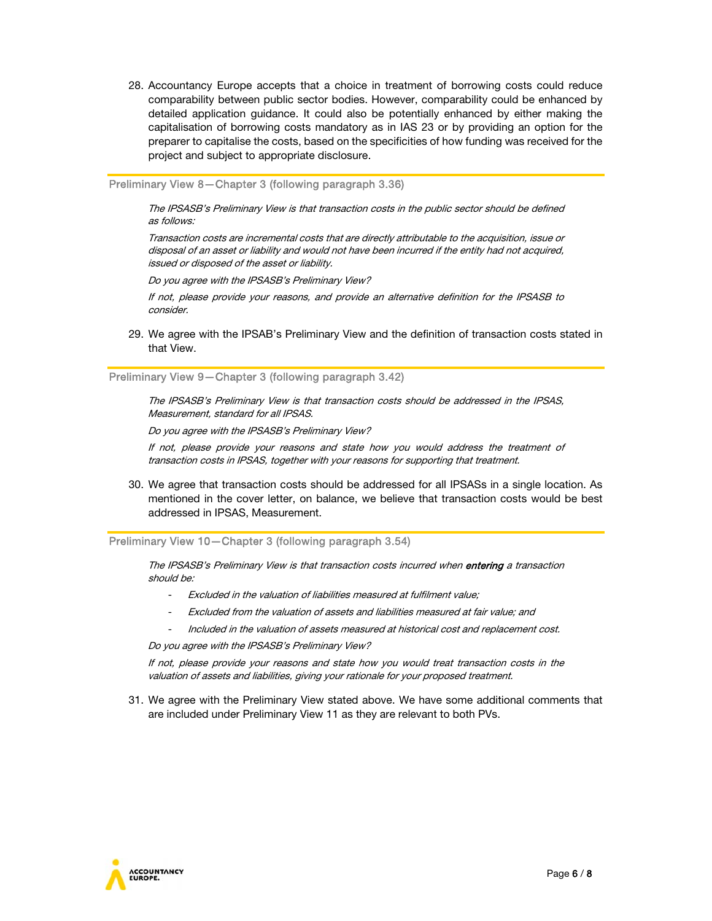28. Accountancy Europe accepts that a choice in treatment of borrowing costs could reduce comparability between public sector bodies. However, comparability could be enhanced by detailed application guidance. It could also be potentially enhanced by either making the capitalisation of borrowing costs mandatory as in IAS 23 or by providing an option for the preparer to capitalise the costs, based on the specificities of how funding was received for the project and subject to appropriate disclosure.

Preliminary View 8—Chapter 3 (following paragraph 3.36)

The IPSASB's Preliminary View is that transaction costs in the public sector should be defined as follows:

Transaction costs are incremental costs that are directly attributable to the acquisition, issue or disposal of an asset or liability and would not have been incurred if the entity had not acquired, issued or disposed of the asset or liability.

Do you agree with the IPSASB's Preliminary View?

If not, please provide your reasons, and provide an alternative definition for the IPSASB to consider.

29. We agree with the IPSAB's Preliminary View and the definition of transaction costs stated in that View.

Preliminary View 9—Chapter 3 (following paragraph 3.42)

The IPSASB's Preliminary View is that transaction costs should be addressed in the IPSAS, Measurement, standard for all IPSAS.

Do you agree with the IPSASB's Preliminary View?

If not, please provide your reasons and state how you would address the treatment of transaction costs in IPSAS, together with your reasons for supporting that treatment.

30. We agree that transaction costs should be addressed for all IPSASs in a single location. As mentioned in the cover letter, on balance, we believe that transaction costs would be best addressed in IPSAS, Measurement.

Preliminary View 10—Chapter 3 (following paragraph 3.54)

The IPSASB's Preliminary View is that transaction costs incurred when entering a transaction should be:

- Excluded in the valuation of liabilities measured at fulfilment value;
- Excluded from the valuation of assets and liabilities measured at fair value; and
- Included in the valuation of assets measured at historical cost and replacement cost.

Do you agree with the IPSASB's Preliminary View?

If not, please provide your reasons and state how you would treat transaction costs in the valuation of assets and liabilities, giving your rationale for your proposed treatment.

31. We agree with the Preliminary View stated above. We have some additional comments that are included under Preliminary View 11 as they are relevant to both PVs.

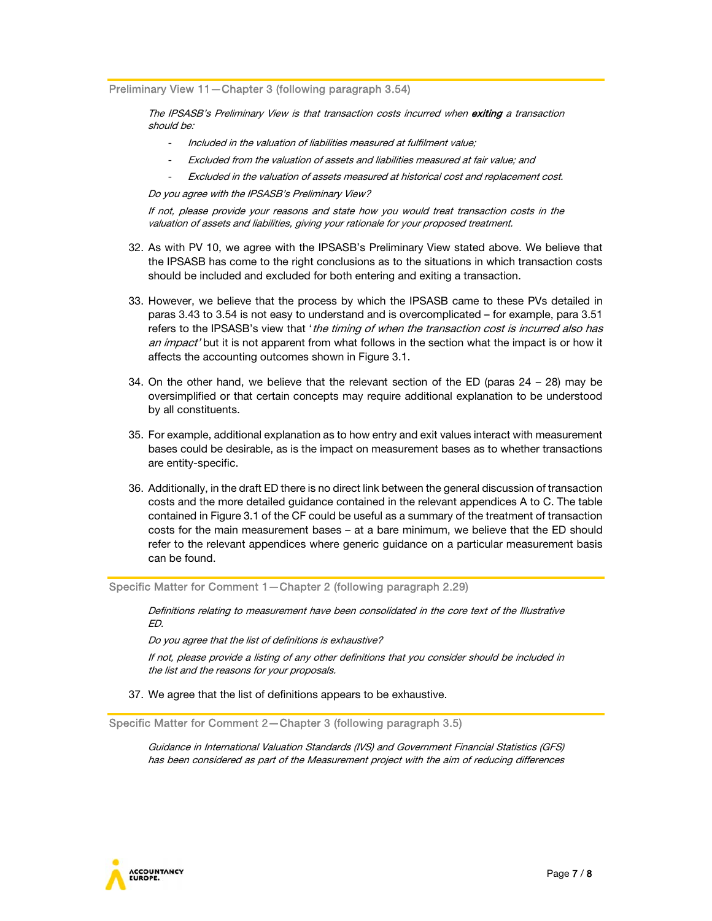Preliminary View 11—Chapter 3 (following paragraph 3.54)

The IPSASB's Preliminary View is that transaction costs incurred when exiting a transaction should be:

- Included in the valuation of liabilities measured at fulfilment value;
- Excluded from the valuation of assets and liabilities measured at fair value; and
- Excluded in the valuation of assets measured at historical cost and replacement cost.

Do you agree with the IPSASB's Preliminary View?

If not, please provide your reasons and state how you would treat transaction costs in the valuation of assets and liabilities, giving your rationale for your proposed treatment.

- 32. As with PV 10, we agree with the IPSASB's Preliminary View stated above. We believe that the IPSASB has come to the right conclusions as to the situations in which transaction costs should be included and excluded for both entering and exiting a transaction.
- 33. However, we believe that the process by which the IPSASB came to these PVs detailed in paras 3.43 to 3.54 is not easy to understand and is overcomplicated – for example, para 3.51 refers to the IPSASB's view that 'the timing of when the transaction cost is incurred also has an impact' but it is not apparent from what follows in the section what the impact is or how it affects the accounting outcomes shown in Figure 3.1.
- 34. On the other hand, we believe that the relevant section of the ED (paras 24 28) may be oversimplified or that certain concepts may require additional explanation to be understood by all constituents.
- 35. For example, additional explanation as to how entry and exit values interact with measurement bases could be desirable, as is the impact on measurement bases as to whether transactions are entity-specific.
- 36. Additionally, in the draft ED there is no direct link between the general discussion of transaction costs and the more detailed guidance contained in the relevant appendices A to C. The table contained in Figure 3.1 of the CF could be useful as a summary of the treatment of transaction costs for the main measurement bases – at a bare minimum, we believe that the ED should refer to the relevant appendices where generic guidance on a particular measurement basis can be found.

Specific Matter for Comment 1—Chapter 2 (following paragraph 2.29)

Definitions relating to measurement have been consolidated in the core text of the Illustrative ED.

Do you agree that the list of definitions is exhaustive?

If not, please provide a listing of any other definitions that you consider should be included in the list and the reasons for your proposals.

37. We agree that the list of definitions appears to be exhaustive.

Specific Matter for Comment 2—Chapter 3 (following paragraph 3.5)

Guidance in International Valuation Standards (IVS) and Government Financial Statistics (GFS) has been considered as part of the Measurement project with the aim of reducing differences